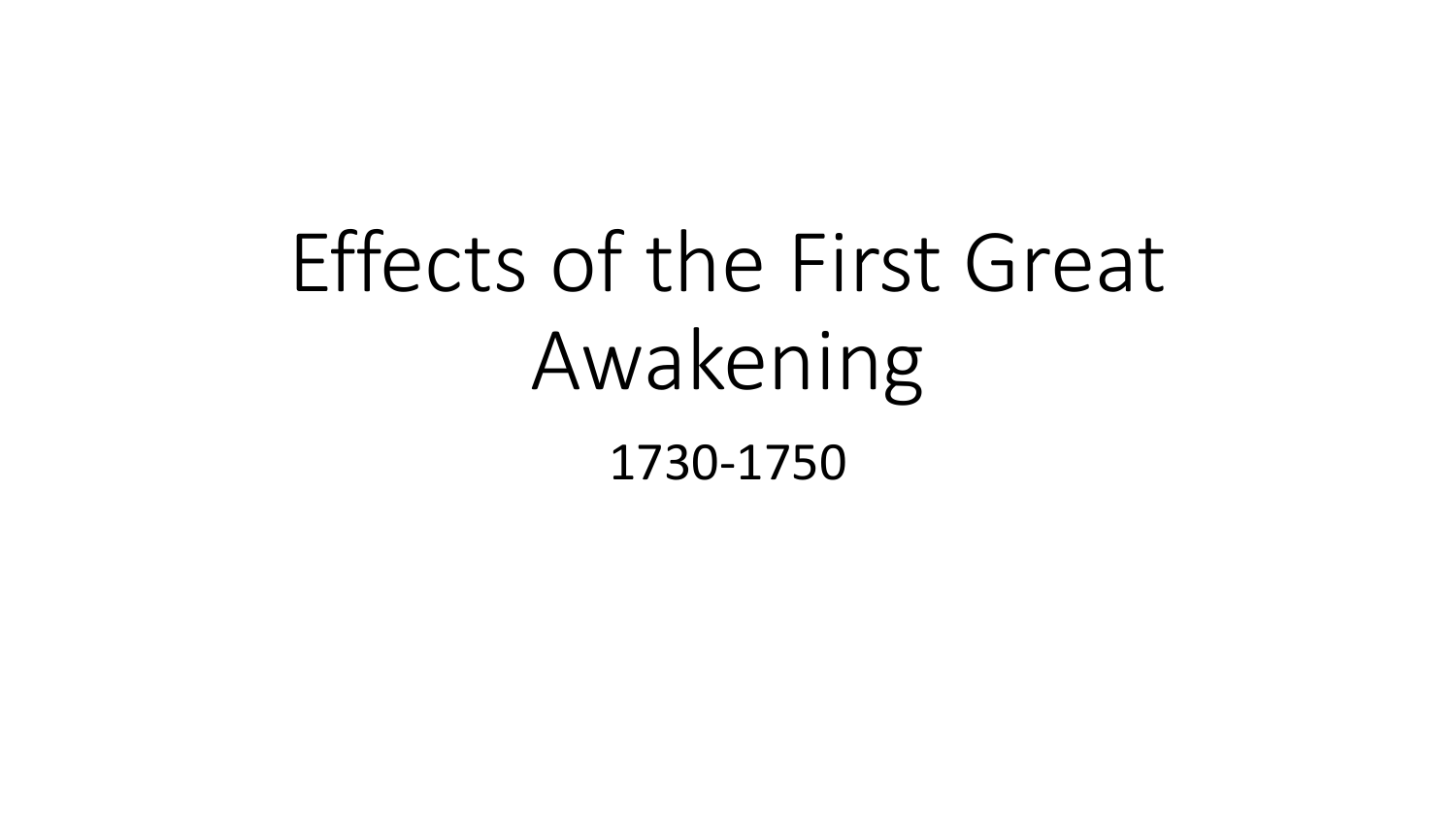# Effects of the First Great Awakening 1730-1750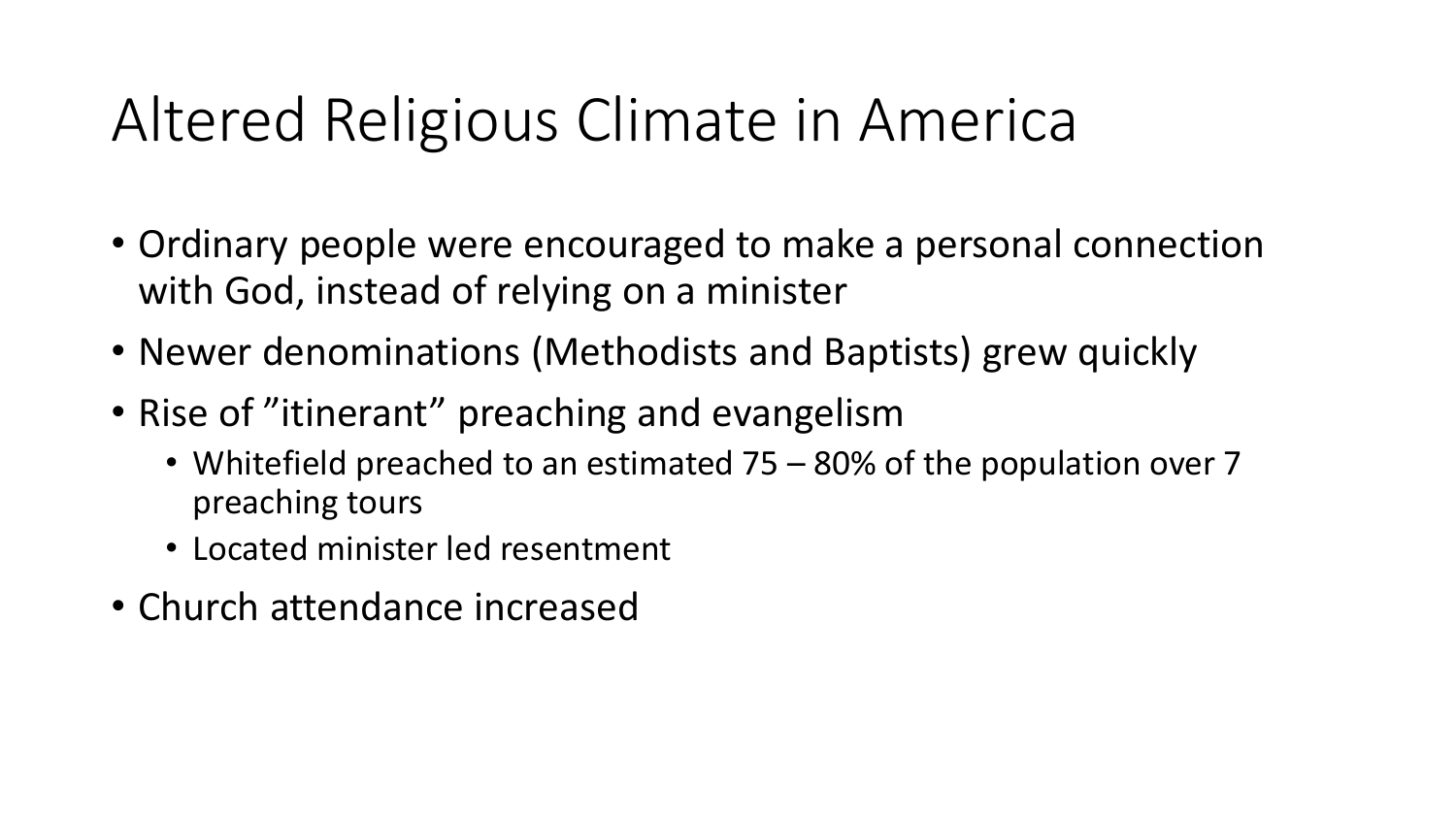#### Altered Religious Climate in America

- Ordinary people were encouraged to make a personal connection with God, instead of relying on a minister
- Newer denominations (Methodists and Baptists) grew quickly
- Rise of "itinerant" preaching and evangelism
	- Whitefield preached to an estimated 75 80% of the population over 7 preaching tours
	- Located minister led resentment
- Church attendance increased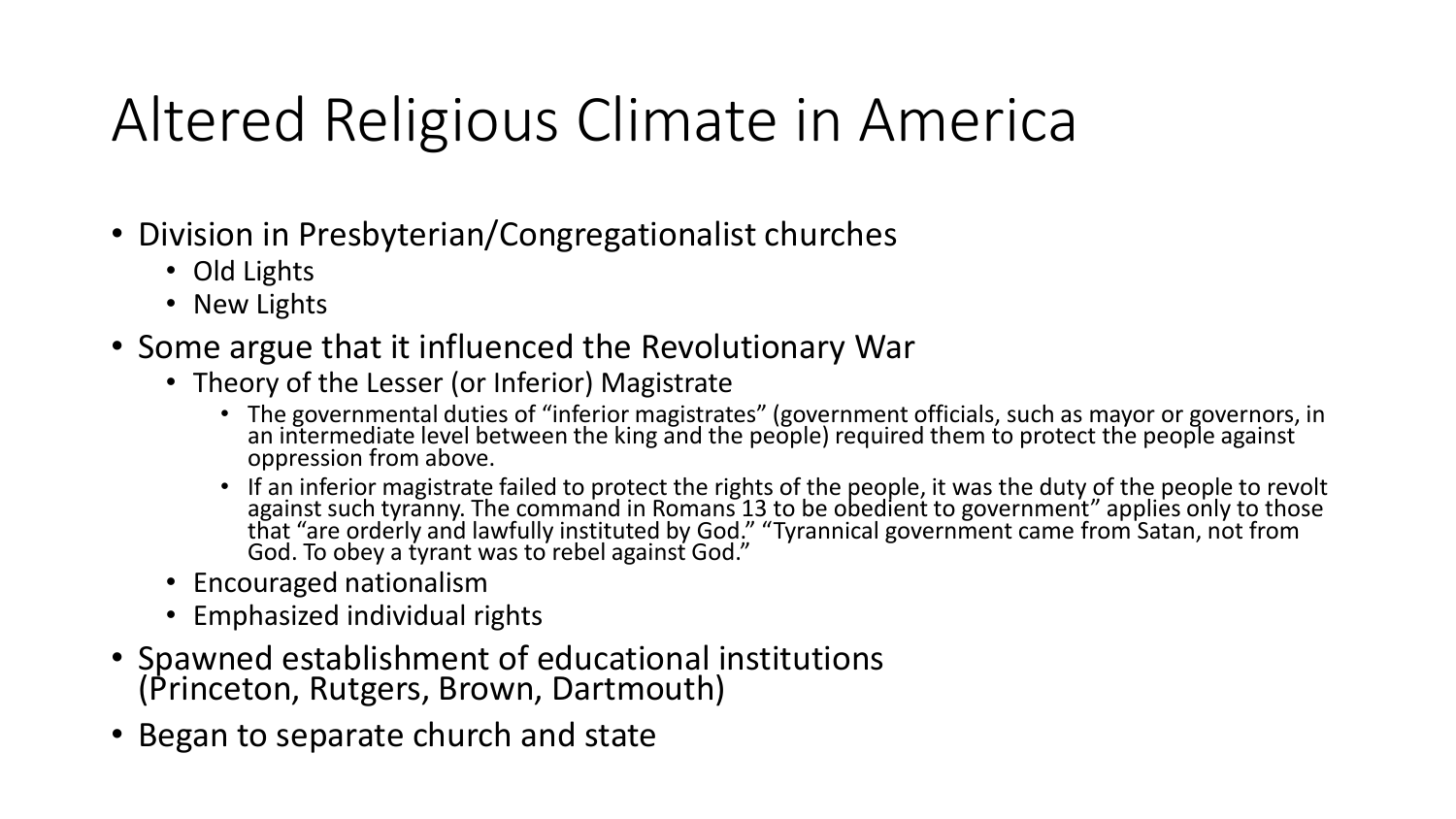## Altered Religious Climate in America

- Division in Presbyterian/Congregationalist churches
	- Old Lights
	- New Lights
- Some argue that it influenced the Revolutionary War
	- Theory of the Lesser (or Inferior) Magistrate
		- The governmental duties of "inferior magistrates" (government officials, such as mayor or governors, in an intermediate level between the king and the people) required them to protect the people against oppression from above.
		- If an inferior magistrate failed to protect the rights of the people, it was the duty of the people to revolt against such tyranny. The command in Romans 13 to be obedient to government" applies only to those that "are orderly and lawfully instituted by God." "Tyrannical government came from Satan, not from God. To obey a tyrant was to rebel against God."
	- Encouraged nationalism
	- Emphasized individual rights
- Spawned establishment of educational institutions (Princeton, Rutgers, Brown, Dartmouth)
- Began to separate church and state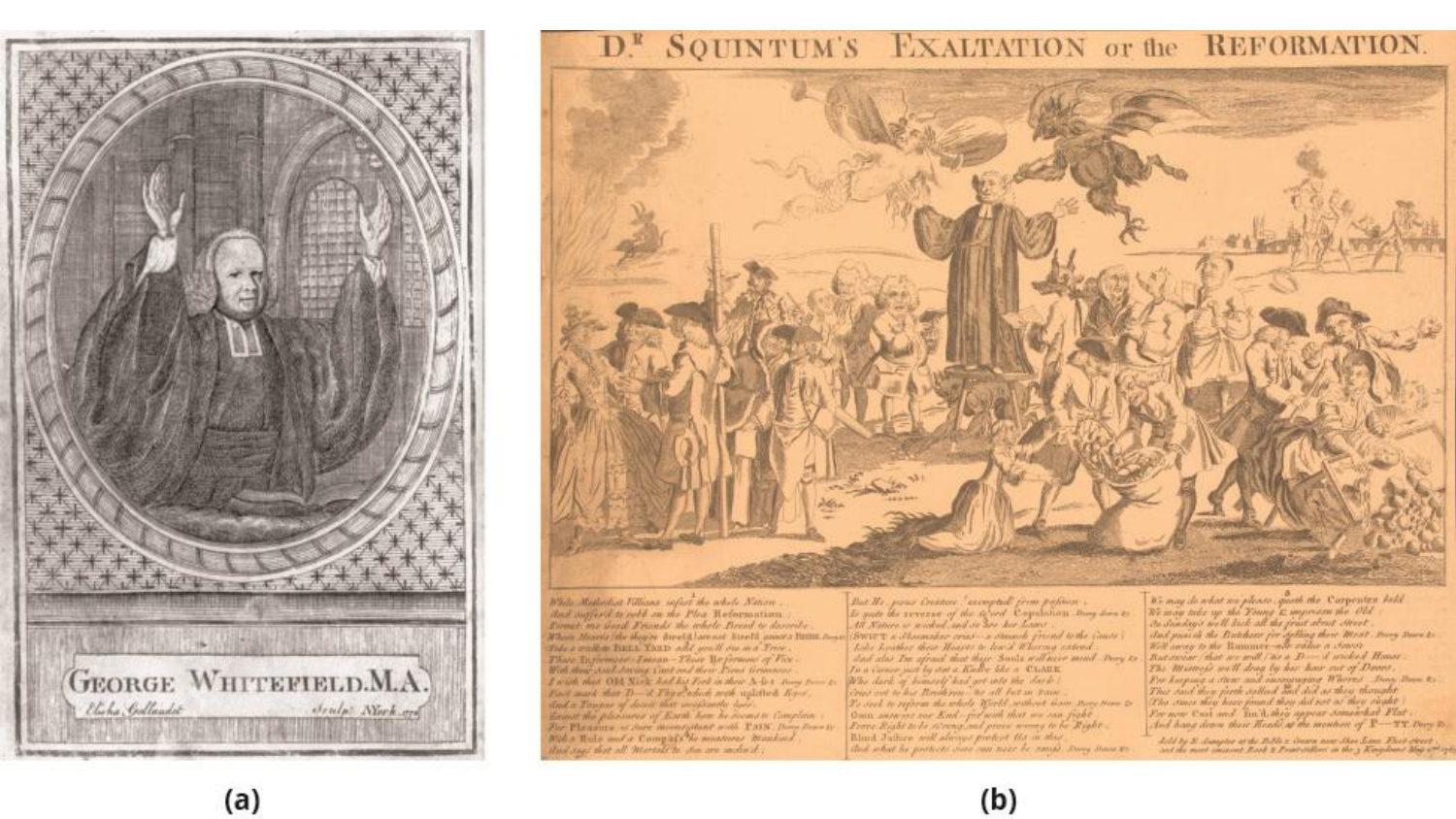



While Methodist Fillians infact the whole Nation. that suffert to note on the Plac Reformation. Parast. me Gord Friends the whole Bread is describe. When Marchelske theory divelop several Steeld sames thank and Swart a Chainsher crash a Bound front to the Cases . Tole a working THELE YARD and you'll see ma Tree. There Inglamses - Integr - These We forward of Fice -<br>Well their stark staring Lind and their Front Granness Louis due OM Nick Ackber Ford a their N. G. Corner too.<br>First mark that D. A Thya about with replatively Replacement of the Mark of the Mark of the Mark of the Mark o<br>duck a Tangene of descrit that marginants there . themse the pleasures of Easth how he because Complete For Planning or over monogenear and VAIN Does from to and one that all martali to she are acched.

But Hi .. paras Cristian . exempted from policies . It not do reverse of the Qued. Copulation. Buy does to All Nature or several and or law her Lawer. Lake Louther their Heaves to lear's Whermy extend. Lad due tre afruid that their Santa will have ment Dony to Bat weight that we will fine to De S wicked Waase.<br>In a cannot just by out a Kadler title a Critan. Who dark of boundely had got onto the dark! dress and to has Readlynn the all but in Fain-To deel, in referen the whole Kirth, without hom. Does from to Onto anthony our End - for with that we can fight France Right to be disconsional prove severage to be Regist. Bland Judices will always protect the in this that what he pretects your our neer be small. Twee twee to

 $(b)$ 

We may do what we phone , gooth the Corporates Isld.<br>We way take up the Young & important the Old. On Sonday's bell halt all the fruit about Meet duck grands the Britishers for sything their Most. Bony Bows to.<br>Will away to the Rummer-whe victor a stateer Pro karping a strew and incompanying Whereas Down Town to The same they have found they did not as they shakt For now Cast and Am'd, they appear somewhat Flat. And hang deven their Heads of the mention of P-TT Day D.

Let's by 31 American at the BM's a Section wear More Law Black Street .<br>and the most imagent Book & Presidential and the y Kingdom Min and oft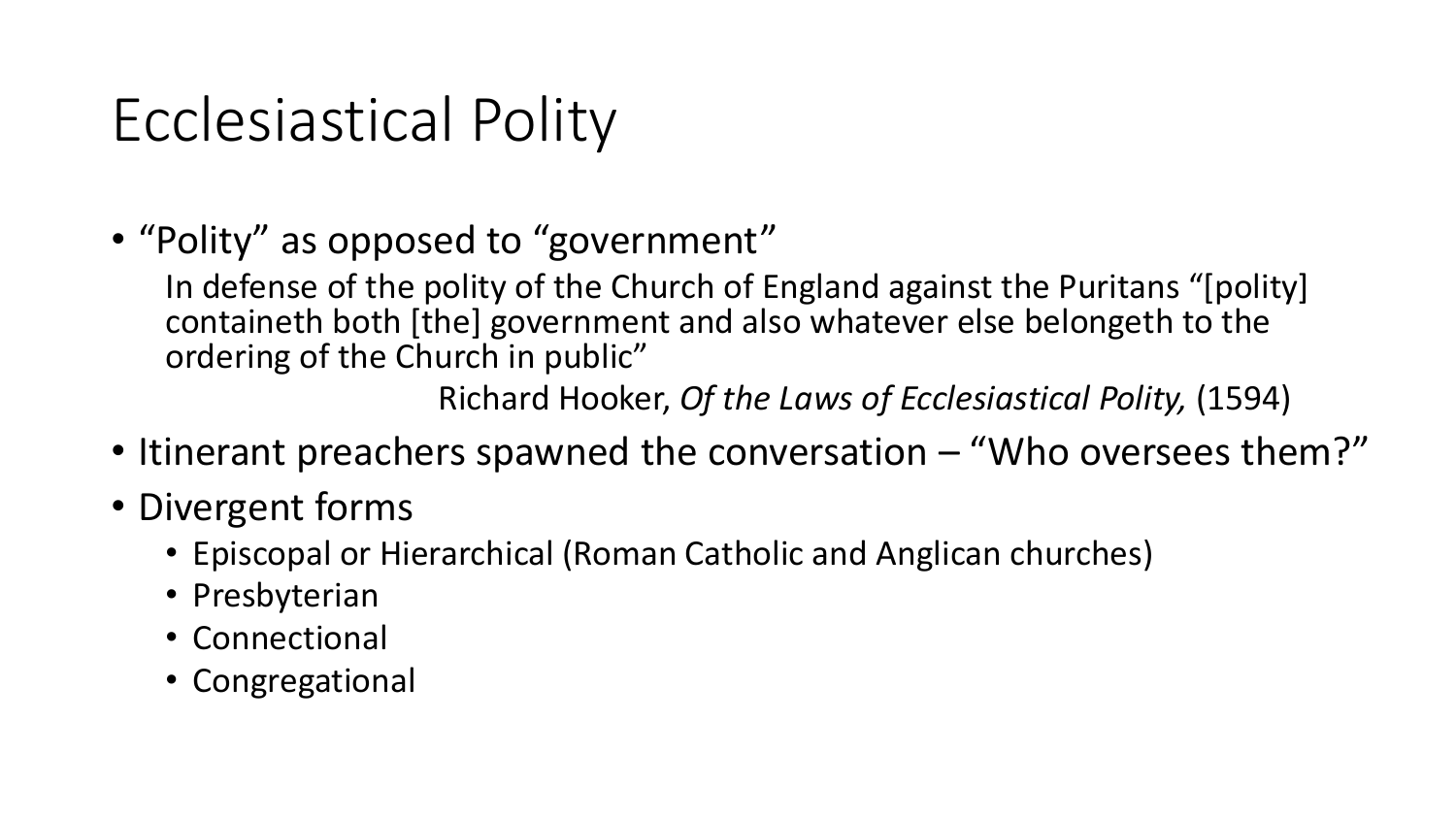### Ecclesiastical Polity

• "Polity" as opposed to "government"

In defense of the polity of the Church of England against the Puritans "[polity] containeth both [the] government and also whatever else belongeth to the ordering of the Church in public"

Richard Hooker, *Of the Laws of Ecclesiastical Polity,* (1594)

- Itinerant preachers spawned the conversation "Who oversees them?"
- Divergent forms
	- Episcopal or Hierarchical (Roman Catholic and Anglican churches)
	- Presbyterian
	- Connectional
	- Congregational